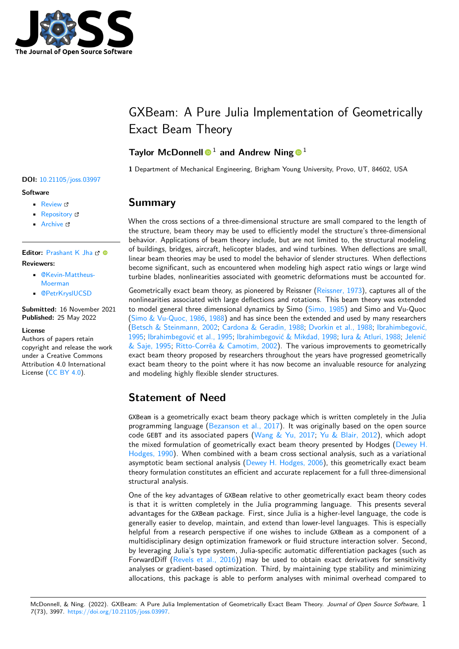

# GXBeam: A Pure Julia Implementation of Geometrically Exact Beam Theory

### **Taylor McDonnell<sup>o</sup><sup>1</sup> and Andrew Ning<sup>o<sup>1</sup>**</sup>

**1** Department of Mechanical Engineering, Brigham Young University, Provo, UT, 84602, USA

### **Summary**

When the cross sections of a three-dimensional structure are small compared to the length of the structure, beam theory may be used to efficiently model the structure's three-dimensional behavior. Applications of beam theory include, but are not limited to, the structural modeling of buildings, bridges, aircraft, helicopter blades, and wind turbines. When deflections are small, linear beam theories may be used to model the behavior of slender structures. When deflections become significant, such as encountered when modeling high aspect ratio wings or large wind turbine blades, nonlinearities associated with geometric deformations must be accounted for.

Geometrically exact beam theory, as pioneered by Reissner [\(Reissner, 1973\)](#page-2-0), captures all of the nonlinearities associated with large deflections and rotations. This beam theory was extended to model general three dimensional dynamics by Simo [\(Simo, 1985\)](#page-3-0) and Simo and Vu-Quoc (Simo  $&$  Vu-Quoc, 1986, [1988\)](#page-3-2) and has since been the extended and used by many researchers [\(Betsch & Steinmann, 2002;](#page-1-0) [Cardona & Geradin, 1988;](#page-1-1) [Dvorkin et al., 1988;](#page-2-1) [Ibrahimbegović,](#page-2-2) [1995;](#page-2-2) [Ibrahimbegović et al., 1995;](#page-2-3) [Ibrahimbegović & Mikdad, 1998;](#page-2-4) [Iura & Atluri, 1988;](#page-2-5) [Jelenić](#page-2-6) [& Saje, 1995;](#page-2-6) [Ritto-Corrêa & Camotim, 2002\)](#page-2-7). The various improvements to geometrically exact beam theory proposed by researchers throughout the years have progressed geometrically exact beam theory to the point where it has now become an invaluable resource for analyzing and modeling highly flexible slender structures.

# **Statement of Need**

GXBeam is a geometrically exact beam theory package which is written completely in the Julia programming language [\(Bezanson et al., 2017\)](#page-1-2). It was originally based on the open source code GEBT and its associated papers [\(Wang & Yu, 2017;](#page-3-3) [Yu & Blair, 2012\)](#page-3-4), which adopt the mixed formulation of geometrically exact beam theory presented by Hodges [\(Dewey H.](#page-2-8) [Hodges, 1990\)](#page-2-8). When combined with a beam cross sectional analysis, such as a variational asymptotic beam sectional analysis [\(Dewey H. Hodges, 2006\)](#page-2-9), this geometrically exact beam theory formulation constitutes an efficient and accurate replacement for a full three-dimensional structural analysis.

One of the key advantages of GXBeam relative to other geometrically exact beam theory codes is that it is written completely in the Julia programming language. This presents several advantages for the GXBeam package. First, since Julia is a higher-level language, the code is generally easier to develop, maintain, and extend than lower-level languages. This is especially helpful from a research perspective if one wishes to include GXBeam as a component of a multidisciplinary design optimization framework or fluid structure interaction solver. Second, by leveraging Julia's type system, Julia-specific automatic differentiation packages (such as ForwardDiff [\(Revels et al., 2016\)](#page-2-10)) may be used to obtain exact derivatives for sensitivity analyses or gradient-based optimization. Third, by maintaining type stability and minimizing allocations, this package is able to perform analyses with minimal overhead compared to

#### **DOI:** [10.21105/joss.03997](https://doi.org/10.21105/joss.03997)

#### **Software**

- [Review](https://github.com/openjournals/joss-reviews/issues/3997) &
- [Repository](https://github.com/byuflowlab/GXBeam.jl) &
- [Archive](https://doi.org/10.5281/zenodo.6558458) &

Editor: [Prashant K Jha](https://prashjha.github.io/) C<sup>®</sup> **Reviewers:**

- [@Kevin-Mattheus-](https://github.com/Kevin-Mattheus-Moerman)[Moerman](https://github.com/Kevin-Mattheus-Moerman)
- [@PetrKryslUCSD](https://github.com/PetrKryslUCSD)

**Submitted:** 16 November 2021 **Published:** 25 May 2022

#### **License**

Authors of papers retain copyright and release the work under a Creative Commons Attribution 4.0 International License [\(CC BY 4.0\)](https://creativecommons.org/licenses/by/4.0/).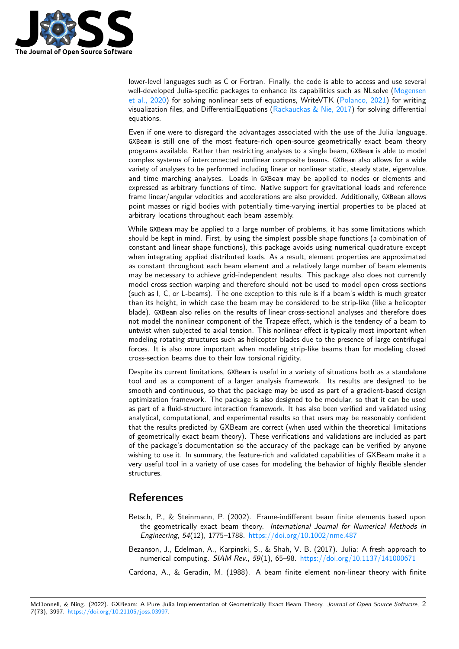

lower-level languages such as C or Fortran. Finally, the code is able to access and use several well-developed Julia-specific packages to enhance its capabilities such as NLsolve [\(Mogensen](#page-2-11) [et al., 2020\)](#page-2-11) for solving nonlinear sets of equations, WriteVTK [\(Polanco, 2021\)](#page-2-12) for writing visualization files, and DifferentialEquations [\(Rackauckas & Nie, 2017\)](#page-2-13) for solving differential equations.

Even if one were to disregard the advantages associated with the use of the Julia language, GXBeam is still one of the most feature-rich open-source geometrically exact beam theory programs available. Rather than restricting analyses to a single beam, GXBeam is able to model complex systems of interconnected nonlinear composite beams. GXBeam also allows for a wide variety of analyses to be performed including linear or nonlinear static, steady state, eigenvalue, and time marching analyses. Loads in GXBeam may be applied to nodes or elements and expressed as arbitrary functions of time. Native support for gravitational loads and reference frame linear/angular velocities and accelerations are also provided. Additionally, GXBeam allows point masses or rigid bodies with potentially time-varying inertial properties to be placed at arbitrary locations throughout each beam assembly.

While GXBeam may be applied to a large number of problems, it has some limitations which should be kept in mind. First, by using the simplest possible shape functions (a combination of constant and linear shape functions), this package avoids using numerical quadrature except when integrating applied distributed loads. As a result, element properties are approximated as constant throughout each beam element and a relatively large number of beam elements may be necessary to achieve grid-independent results. This package also does not currently model cross section warping and therefore should not be used to model open cross sections (such as I, C, or L-beams). The one exception to this rule is if a beam's width is much greater than its height, in which case the beam may be considered to be strip-like (like a helicopter blade). GXBeam also relies on the results of linear cross-sectional analyses and therefore does not model the nonlinear component of the Trapeze effect, which is the tendency of a beam to untwist when subjected to axial tension. This nonlinear effect is typically most important when modeling rotating structures such as helicopter blades due to the presence of large centrifugal forces. It is also more important when modeling strip-like beams than for modeling closed cross-section beams due to their low torsional rigidity.

Despite its current limitations, GXBeam is useful in a variety of situations both as a standalone tool and as a component of a larger analysis framework. Its results are designed to be smooth and continuous, so that the package may be used as part of a gradient-based design optimization framework. The package is also designed to be modular, so that it can be used as part of a fluid-structure interaction framework. It has also been verified and validated using analytical, computational, and experimental results so that users may be reasonably confident that the results predicted by GXBeam are correct (when used within the theoretical limitations of geometrically exact beam theory). These verifications and validations are included as part of the package's documentation so the accuracy of the package can be verified by anyone wishing to use it. In summary, the feature-rich and validated capabilities of GXBeam make it a very useful tool in a variety of use cases for modeling the behavior of highly flexible slender structures.

## **References**

- <span id="page-1-0"></span>Betsch, P., & Steinmann, P. (2002). Frame-indifferent beam finite elements based upon the geometrically exact beam theory. International Journal for Numerical Methods in Engineering, 54(12), 1775–1788. <https://doi.org/10.1002/nme.487>
- <span id="page-1-2"></span>Bezanson, J., Edelman, A., Karpinski, S., & Shah, V. B. (2017). Julia: A fresh approach to numerical computing. SIAM Rev., 59(1), 65–98. <https://doi.org/10.1137/141000671>
- <span id="page-1-1"></span>Cardona, A., & Geradin, M. (1988). A beam finite element non-linear theory with finite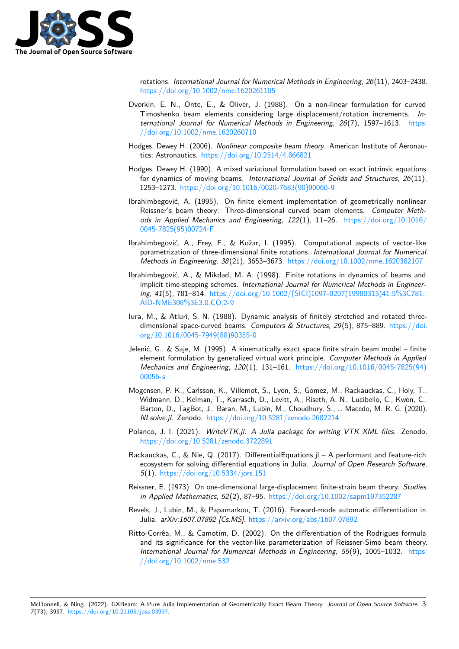

rotations. International Journal for Numerical Methods in Engineering, 26(11), 2403–2438. <https://doi.org/10.1002/nme.1620261105>

- <span id="page-2-1"></span>Dvorkin, E. N., Onte, E., & Oliver, J. (1988). On a non-linear formulation for curved Timoshenko beam elements considering large displacement/rotation increments. International Journal for Numerical Methods in Engineering, 26(7), 1597–1613. [https:](https://doi.org/10.1002/nme.1620260710) [//doi.org/10.1002/nme.1620260710](https://doi.org/10.1002/nme.1620260710)
- <span id="page-2-9"></span>Hodges, Dewey H. (2006). Nonlinear composite beam theory. American Institute of Aeronautics; Astronautics. <https://doi.org/10.2514/4.866821>
- <span id="page-2-8"></span>Hodges, Dewey H. (1990). A mixed variational formulation based on exact intrinsic equations for dynamics of moving beams. International Journal of Solids and Structures,  $26(11)$ , 1253–1273. [https://doi.org/10.1016/0020-7683\(90\)90060-9](https://doi.org/10.1016/0020-7683(90)90060-9)
- <span id="page-2-2"></span>Ibrahimbegović, A. (1995). On finite element implementation of geometrically nonlinear Reissner's beam theory: Three-dimensional curved beam elements. Computer Methods in Applied Mechanics and Engineering,  $122(1)$ ,  $11-26$ . [https://doi.org/10.1016/](https://doi.org/10.1016/0045-7825(95)00724-F) [0045-7825\(95\)00724-F](https://doi.org/10.1016/0045-7825(95)00724-F)
- <span id="page-2-3"></span>Ibrahimbegović, A., Frey, F., & Kožar, I. (1995). Computational aspects of vector-like parametrization of three-dimensional finite rotations. International Journal for Numerical Methods in Engineering, 38(21), 3653–3673. <https://doi.org/10.1002/nme.1620382107>
- <span id="page-2-4"></span>Ibrahimbegović, A., & Mikdad, M. A. (1998). Finite rotations in dynamics of beams and implicit time-stepping schemes. International Journal for Numerical Methods in Engineering, 41(5), 781–814. [https://doi.org/10.1002/\(SICI\)1097-0207\(19980315\)41:5%3C781::](https://doi.org/10.1002/(SICI)1097-0207(19980315)41:5%3C781::AID-NME308%3E3.0.CO;2-9) [AID-NME308%3E3.0.CO;2-9](https://doi.org/10.1002/(SICI)1097-0207(19980315)41:5%3C781::AID-NME308%3E3.0.CO;2-9)
- <span id="page-2-5"></span>Iura, M., & Atluri, S. N. (1988). Dynamic analysis of finitely stretched and rotated threedimensional space-curved beams. Computers  $&$  Structures, 29(5), 875–889. [https://doi.](https://doi.org/10.1016/0045-7949(88)90355-0) [org/10.1016/0045-7949\(88\)90355-0](https://doi.org/10.1016/0045-7949(88)90355-0)
- <span id="page-2-6"></span>Jelenić, G., & Saje, M. (1995). A kinematically exact space finite strain beam model – finite element formulation by generalized virtual work principle. Computer Methods in Applied Mechanics and Engineering, 120(1), 131–161. [https://doi.org/10.1016/0045-7825\(94\)](https://doi.org/10.1016/0045-7825(94)00056-s) [00056-s](https://doi.org/10.1016/0045-7825(94)00056-s)
- <span id="page-2-11"></span>Mogensen, P. K., Carlsson, K., Villemot, S., Lyon, S., Gomez, M., Rackauckas, C., Holy, T., Widmann, D., Kelman, T., Karrasch, D., Levitt, A., Riseth, A. N., Lucibello, C., Kwon, C., Barton, D., TagBot, J., Baran, M., Lubin, M., Choudhury, S., … Macedo, M. R. G. (2020). NLsolve.jl. Zenodo. <https://doi.org/10.5281/zenodo.2682214>
- <span id="page-2-12"></span>Polanco, J. I. (2021). WriteVTK.jl: A Julia package for writing VTK XML files. Zenodo. <https://doi.org/10.5281/zenodo.3722891>
- <span id="page-2-13"></span>Rackauckas, C., & Nie, Q. (2017). DifferentialEquations.jl – A performant and feature-rich ecosystem for solving differential equations in Julia. Journal of Open Research Software, 5(1). <https://doi.org/10.5334/jors.151>
- <span id="page-2-0"></span>Reissner, E. (1973). On one-dimensional large-displacement finite-strain beam theory. Studies in Applied Mathematics, 52(2), 87–95. <https://doi.org/10.1002/sapm197352287>
- <span id="page-2-10"></span>Revels, J., Lubin, M., & Papamarkou, T. (2016). Forward-mode automatic differentiation in Julia. arXiv:1607.07892 [Cs.MS]. <https://arxiv.org/abs/1607.07892>
- <span id="page-2-7"></span>Ritto-Corrêa, M., & Camotim, D. (2002). On the differentiation of the Rodrigues formula and its significance for the vector-like parameterization of Reissner-Simo beam theory. International Journal for Numerical Methods in Engineering, 55(9), 1005–1032. [https:](https://doi.org/10.1002/nme.532) [//doi.org/10.1002/nme.532](https://doi.org/10.1002/nme.532)